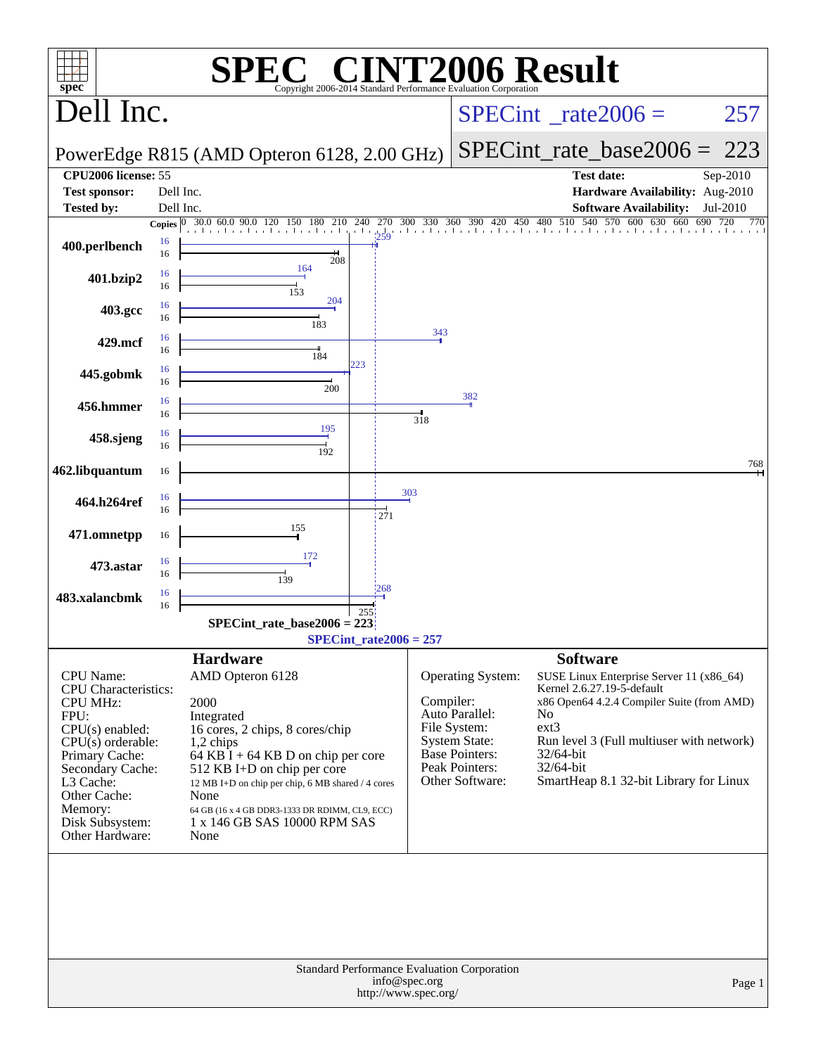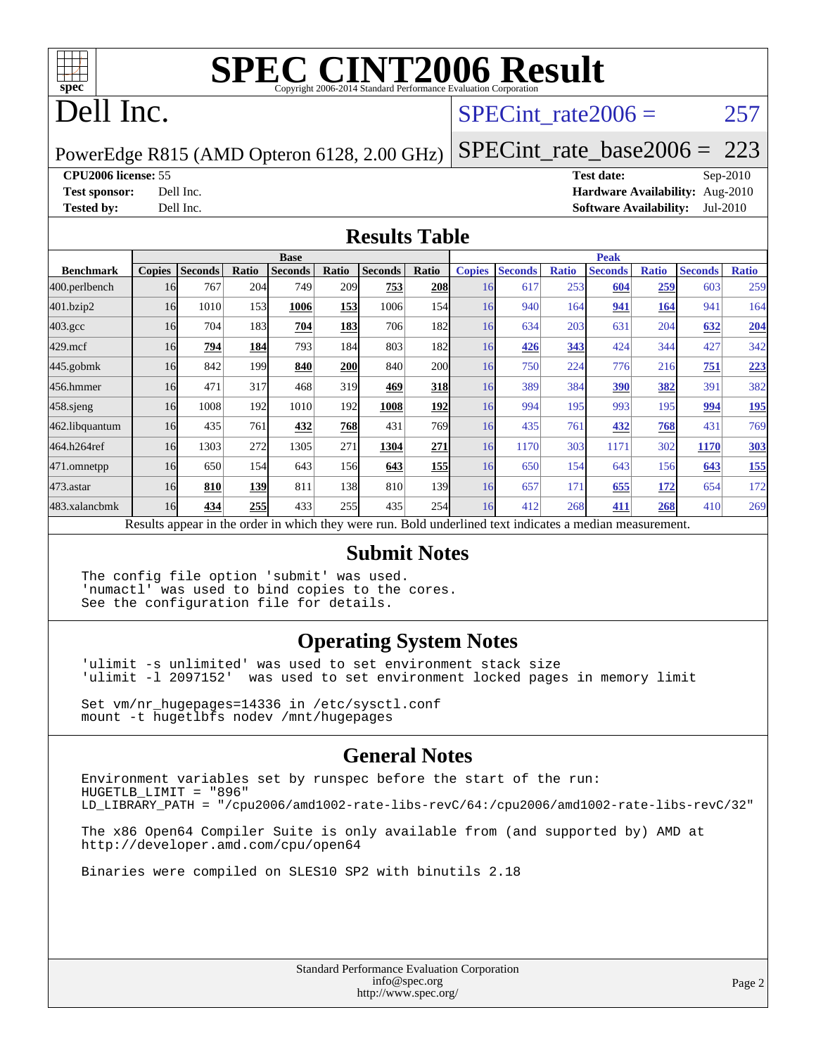

# **[SPEC CINT2006 Result](http://www.spec.org/auto/cpu2006/Docs/result-fields.html#SPECCINT2006Result)**

## Dell Inc.

#### SPECint rate $2006 = 257$

PowerEdge R815 (AMD Opteron 6128, 2.00 GHz)

[SPECint\\_rate\\_base2006 =](http://www.spec.org/auto/cpu2006/Docs/result-fields.html#SPECintratebase2006) 223

**[CPU2006 license:](http://www.spec.org/auto/cpu2006/Docs/result-fields.html#CPU2006license)** 55 **[Test date:](http://www.spec.org/auto/cpu2006/Docs/result-fields.html#Testdate)** Sep-2010

**[Test sponsor:](http://www.spec.org/auto/cpu2006/Docs/result-fields.html#Testsponsor)** Dell Inc. **[Hardware Availability:](http://www.spec.org/auto/cpu2006/Docs/result-fields.html#HardwareAvailability)** Aug-2010 **[Tested by:](http://www.spec.org/auto/cpu2006/Docs/result-fields.html#Testedby)** Dell Inc. **[Software Availability:](http://www.spec.org/auto/cpu2006/Docs/result-fields.html#SoftwareAvailability)** Jul-2010

#### **[Results Table](http://www.spec.org/auto/cpu2006/Docs/result-fields.html#ResultsTable)**

|                                                                                                          | <b>Base</b>   |                |       |                |            |                |              |               | <b>Peak</b>    |              |                |              |                |              |  |  |
|----------------------------------------------------------------------------------------------------------|---------------|----------------|-------|----------------|------------|----------------|--------------|---------------|----------------|--------------|----------------|--------------|----------------|--------------|--|--|
| <b>Benchmark</b>                                                                                         | <b>Copies</b> | <b>Seconds</b> | Ratio | <b>Seconds</b> | Ratio      | <b>Seconds</b> | <b>Ratio</b> | <b>Copies</b> | <b>Seconds</b> | <b>Ratio</b> | <b>Seconds</b> | <b>Ratio</b> | <b>Seconds</b> | <b>Ratio</b> |  |  |
| 400.perlbench                                                                                            | 16            | 767            | 204   | 749            | 209        | 753            | 208          | 16            | 617            | 253          | 604            | 259          | 603            | 259          |  |  |
| 401.bzip2                                                                                                | 16            | 1010           | 153   | 1006           | 153        | 1006           | 154          | 16            | 940            | 164          | 941            | 164          | 941            | 164          |  |  |
| $403.\mathrm{gcc}$                                                                                       | 16            | 704            | 183   | 704            | 183        | 706            | 182          | 16            | 634            | 203          | 631            | 204          | 632            | 204          |  |  |
| $429$ .mcf                                                                                               | 16            | 794            | 184   | 793            | 184        | 803            | 182          | 16            | 426            | 343          | 424            | 344          | 427            | 342          |  |  |
| 445.gobmk                                                                                                | 16            | 842            | 199   | 840            | <b>200</b> | 840            | 200          | 16            | 750            | 224          | 776            | 216          | 751            | 223          |  |  |
| 456.hmmer                                                                                                | 16            | 471            | 317   | 468            | 319        | 469            | 318          | 16            | 389            | 384          | <u>390</u>     | <u>382</u>   | 391            | 382          |  |  |
| $458$ .sjeng                                                                                             | 16            | 1008           | 192   | 1010           | 192        | 1008           | 192          | 16            | 994            | 195          | 993            | 195          | 994            | <u>195</u>   |  |  |
| 462.libquantum                                                                                           | 16            | 435            | 761   | 432            | 768        | 431            | 769          | 16            | 435            | 761          | 432            | 768          | 431            | 769          |  |  |
| 464.h264ref                                                                                              | 16            | 1303           | 272   | 1305           | 271        | 1304           | 271          | 16            | 1170           | 303          | 1171           | 302          | 1170           | <b>303</b>   |  |  |
| 471.omnetpp                                                                                              | 16            | 650            | 154   | 643            | 156        | 643            | 155          | 16            | 650            | 154          | 643            | 156          | 643            | 155          |  |  |
| $473$ . astar                                                                                            | 16            | 810            | 139   | 811            | 138        | 810            | 139I         | 16            | 657            | 171          | 655            | 172          | 654            | 172          |  |  |
| 483.xalancbmk                                                                                            | 16            | 434            | 255   | 433            | 255        | 435            | 254          | 16            | 412            | 268          | 411            | 268          | 410            | 269          |  |  |
| Results appear in the order in which they were run. Bold underlined text indicates a median measurement. |               |                |       |                |            |                |              |               |                |              |                |              |                |              |  |  |

#### **[Submit Notes](http://www.spec.org/auto/cpu2006/Docs/result-fields.html#SubmitNotes)**

The config file option 'submit' was used. 'numactl' was used to bind copies to the cores. See the configuration file for details.

#### **[Operating System Notes](http://www.spec.org/auto/cpu2006/Docs/result-fields.html#OperatingSystemNotes)**

'ulimit -s unlimited' was used to set environment stack size 'ulimit -l 2097152' was used to set environment locked pages in memory limit

Set vm/nr\_hugepages=14336 in /etc/sysctl.conf mount -t hugetlbfs nodev /mnt/hugepages

#### **[General Notes](http://www.spec.org/auto/cpu2006/Docs/result-fields.html#GeneralNotes)**

Environment variables set by runspec before the start of the run: HUGETLB\_LIMIT = "896" LD\_LIBRARY\_PATH = "/cpu2006/amd1002-rate-libs-revC/64:/cpu2006/amd1002-rate-libs-revC/32"

The x86 Open64 Compiler Suite is only available from (and supported by) AMD at <http://developer.amd.com/cpu/open64>

Binaries were compiled on SLES10 SP2 with binutils 2.18

Standard Performance Evaluation Corporation [info@spec.org](mailto:info@spec.org) <http://www.spec.org/>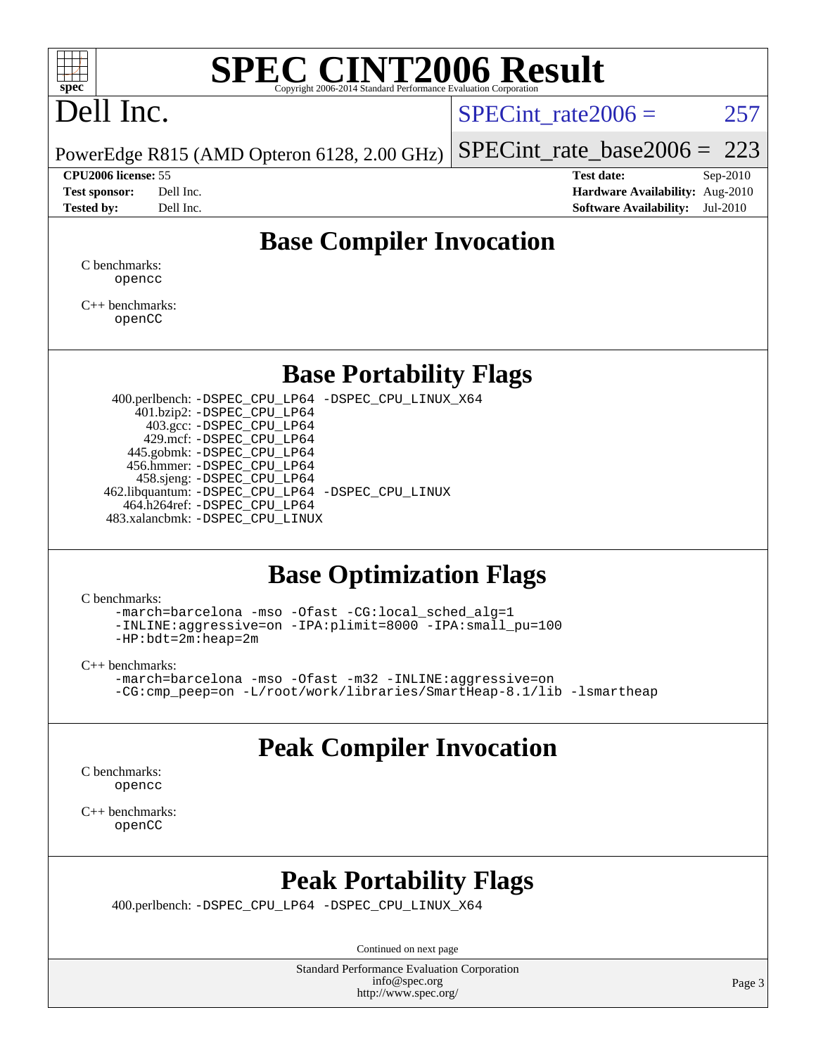

# **[SPEC CINT2006 Result](http://www.spec.org/auto/cpu2006/Docs/result-fields.html#SPECCINT2006Result)**

# Dell Inc.

SPECint rate $2006 = 257$ 

[SPECint\\_rate\\_base2006 =](http://www.spec.org/auto/cpu2006/Docs/result-fields.html#SPECintratebase2006) 223

PowerEdge R815 (AMD Opteron 6128, 2.00 GHz)

**[CPU2006 license:](http://www.spec.org/auto/cpu2006/Docs/result-fields.html#CPU2006license)** 55 **[Test date:](http://www.spec.org/auto/cpu2006/Docs/result-fields.html#Testdate)** Sep-2010 **[Test sponsor:](http://www.spec.org/auto/cpu2006/Docs/result-fields.html#Testsponsor)** Dell Inc. **[Hardware Availability:](http://www.spec.org/auto/cpu2006/Docs/result-fields.html#HardwareAvailability)** Aug-2010 **[Tested by:](http://www.spec.org/auto/cpu2006/Docs/result-fields.html#Testedby)** Dell Inc. **[Software Availability:](http://www.spec.org/auto/cpu2006/Docs/result-fields.html#SoftwareAvailability)** Jul-2010

#### **[Base Compiler Invocation](http://www.spec.org/auto/cpu2006/Docs/result-fields.html#BaseCompilerInvocation)**

[C benchmarks](http://www.spec.org/auto/cpu2006/Docs/result-fields.html#Cbenchmarks): [opencc](http://www.spec.org/cpu2006/results/res2010q3/cpu2006-20100914-13300.flags.html#user_CCbase_Fopencc)

[C++ benchmarks:](http://www.spec.org/auto/cpu2006/Docs/result-fields.html#CXXbenchmarks) [openCC](http://www.spec.org/cpu2006/results/res2010q3/cpu2006-20100914-13300.flags.html#user_CXXbase_FopenCC)

#### **[Base Portability Flags](http://www.spec.org/auto/cpu2006/Docs/result-fields.html#BasePortabilityFlags)**

 400.perlbench: [-DSPEC\\_CPU\\_LP64](http://www.spec.org/cpu2006/results/res2010q3/cpu2006-20100914-13300.flags.html#b400.perlbench_basePORTABILITY_DSPEC_CPU_LP64) [-DSPEC\\_CPU\\_LINUX\\_X64](http://www.spec.org/cpu2006/results/res2010q3/cpu2006-20100914-13300.flags.html#b400.perlbench_baseCPORTABILITY_DSPEC_CPU_LINUX_X64) 401.bzip2: [-DSPEC\\_CPU\\_LP64](http://www.spec.org/cpu2006/results/res2010q3/cpu2006-20100914-13300.flags.html#suite_basePORTABILITY401_bzip2_DSPEC_CPU_LP64) 403.gcc: [-DSPEC\\_CPU\\_LP64](http://www.spec.org/cpu2006/results/res2010q3/cpu2006-20100914-13300.flags.html#suite_basePORTABILITY403_gcc_DSPEC_CPU_LP64) 429.mcf: [-DSPEC\\_CPU\\_LP64](http://www.spec.org/cpu2006/results/res2010q3/cpu2006-20100914-13300.flags.html#suite_basePORTABILITY429_mcf_DSPEC_CPU_LP64) 445.gobmk: [-DSPEC\\_CPU\\_LP64](http://www.spec.org/cpu2006/results/res2010q3/cpu2006-20100914-13300.flags.html#suite_basePORTABILITY445_gobmk_DSPEC_CPU_LP64) 456.hmmer: [-DSPEC\\_CPU\\_LP64](http://www.spec.org/cpu2006/results/res2010q3/cpu2006-20100914-13300.flags.html#suite_basePORTABILITY456_hmmer_DSPEC_CPU_LP64) 458.sjeng: [-DSPEC\\_CPU\\_LP64](http://www.spec.org/cpu2006/results/res2010q3/cpu2006-20100914-13300.flags.html#suite_basePORTABILITY458_sjeng_DSPEC_CPU_LP64) 462.libquantum: [-DSPEC\\_CPU\\_LP64](http://www.spec.org/cpu2006/results/res2010q3/cpu2006-20100914-13300.flags.html#suite_basePORTABILITY462_libquantum_DSPEC_CPU_LP64) [-DSPEC\\_CPU\\_LINUX](http://www.spec.org/cpu2006/results/res2010q3/cpu2006-20100914-13300.flags.html#b462.libquantum_baseCPORTABILITY_DSPEC_CPU_LINUX) 464.h264ref: [-DSPEC\\_CPU\\_LP64](http://www.spec.org/cpu2006/results/res2010q3/cpu2006-20100914-13300.flags.html#suite_basePORTABILITY464_h264ref_DSPEC_CPU_LP64) 483.xalancbmk: [-DSPEC\\_CPU\\_LINUX](http://www.spec.org/cpu2006/results/res2010q3/cpu2006-20100914-13300.flags.html#b483.xalancbmk_baseCXXPORTABILITY_DSPEC_CPU_LINUX)

#### **[Base Optimization Flags](http://www.spec.org/auto/cpu2006/Docs/result-fields.html#BaseOptimizationFlags)**

[C benchmarks](http://www.spec.org/auto/cpu2006/Docs/result-fields.html#Cbenchmarks):

[-march=barcelona](http://www.spec.org/cpu2006/results/res2010q3/cpu2006-20100914-13300.flags.html#user_CCbase_F-march_8ea39521cada96f307a04d0b8b9c6ffb) [-mso](http://www.spec.org/cpu2006/results/res2010q3/cpu2006-20100914-13300.flags.html#user_CCbase_F-mso) [-Ofast](http://www.spec.org/cpu2006/results/res2010q3/cpu2006-20100914-13300.flags.html#user_CCbase_F-Ofast) [-CG:local\\_sched\\_alg=1](http://www.spec.org/cpu2006/results/res2010q3/cpu2006-20100914-13300.flags.html#user_CCbase_F-CG:local_sched_alg_2175ca61f1a2717f1ec57b14995b9e7a) [-INLINE:aggressive=on](http://www.spec.org/cpu2006/results/res2010q3/cpu2006-20100914-13300.flags.html#user_CCbase_F-INLINE:aggressive_e14807c0a1e56a6a83cb25ab07c7ae8a) [-IPA:plimit=8000](http://www.spec.org/cpu2006/results/res2010q3/cpu2006-20100914-13300.flags.html#user_CCbase_F-IPA:plimit_92cba83f3d47f09c7d5368fda93ddbd7) [-IPA:small\\_pu=100](http://www.spec.org/cpu2006/results/res2010q3/cpu2006-20100914-13300.flags.html#user_CCbase_F-IPA:small_pu_900a09767c6929d55c26ea3d32399996) [-HP:bdt=2m:heap=2m](http://www.spec.org/cpu2006/results/res2010q3/cpu2006-20100914-13300.flags.html#user_CCbase_F-HUGEPAGE_855e97383b49831f390a2af16fe7202f)

[C++ benchmarks:](http://www.spec.org/auto/cpu2006/Docs/result-fields.html#CXXbenchmarks)

[-march=barcelona](http://www.spec.org/cpu2006/results/res2010q3/cpu2006-20100914-13300.flags.html#user_CXXbase_F-march_8ea39521cada96f307a04d0b8b9c6ffb) [-mso](http://www.spec.org/cpu2006/results/res2010q3/cpu2006-20100914-13300.flags.html#user_CXXbase_F-mso) [-Ofast](http://www.spec.org/cpu2006/results/res2010q3/cpu2006-20100914-13300.flags.html#user_CXXbase_F-Ofast) [-m32](http://www.spec.org/cpu2006/results/res2010q3/cpu2006-20100914-13300.flags.html#user_CXXbase_F-m32) [-INLINE:aggressive=on](http://www.spec.org/cpu2006/results/res2010q3/cpu2006-20100914-13300.flags.html#user_CXXbase_F-INLINE:aggressive_e14807c0a1e56a6a83cb25ab07c7ae8a) [-CG:cmp\\_peep=on](http://www.spec.org/cpu2006/results/res2010q3/cpu2006-20100914-13300.flags.html#user_CXXbase_F-CG:cmp_peep_ab90c979e95bee1f1f617a32622424ed) [-L/root/work/libraries/SmartHeap-8.1/lib -lsmartheap](http://www.spec.org/cpu2006/results/res2010q3/cpu2006-20100914-13300.flags.html#user_CXXbase_F-L_lib_directory_lsmartheap_9ab549d8336b8b0ffe7b94e3ae706265)

## **[Peak Compiler Invocation](http://www.spec.org/auto/cpu2006/Docs/result-fields.html#PeakCompilerInvocation)**

[C benchmarks](http://www.spec.org/auto/cpu2006/Docs/result-fields.html#Cbenchmarks): [opencc](http://www.spec.org/cpu2006/results/res2010q3/cpu2006-20100914-13300.flags.html#user_CCpeak_Fopencc)

[C++ benchmarks:](http://www.spec.org/auto/cpu2006/Docs/result-fields.html#CXXbenchmarks) [openCC](http://www.spec.org/cpu2006/results/res2010q3/cpu2006-20100914-13300.flags.html#user_CXXpeak_FopenCC)

### **[Peak Portability Flags](http://www.spec.org/auto/cpu2006/Docs/result-fields.html#PeakPortabilityFlags)**

400.perlbench: [-DSPEC\\_CPU\\_LP64](http://www.spec.org/cpu2006/results/res2010q3/cpu2006-20100914-13300.flags.html#b400.perlbench_peakPORTABILITY_DSPEC_CPU_LP64) [-DSPEC\\_CPU\\_LINUX\\_X64](http://www.spec.org/cpu2006/results/res2010q3/cpu2006-20100914-13300.flags.html#b400.perlbench_peakCPORTABILITY_DSPEC_CPU_LINUX_X64)

Continued on next page

Standard Performance Evaluation Corporation [info@spec.org](mailto:info@spec.org) <http://www.spec.org/>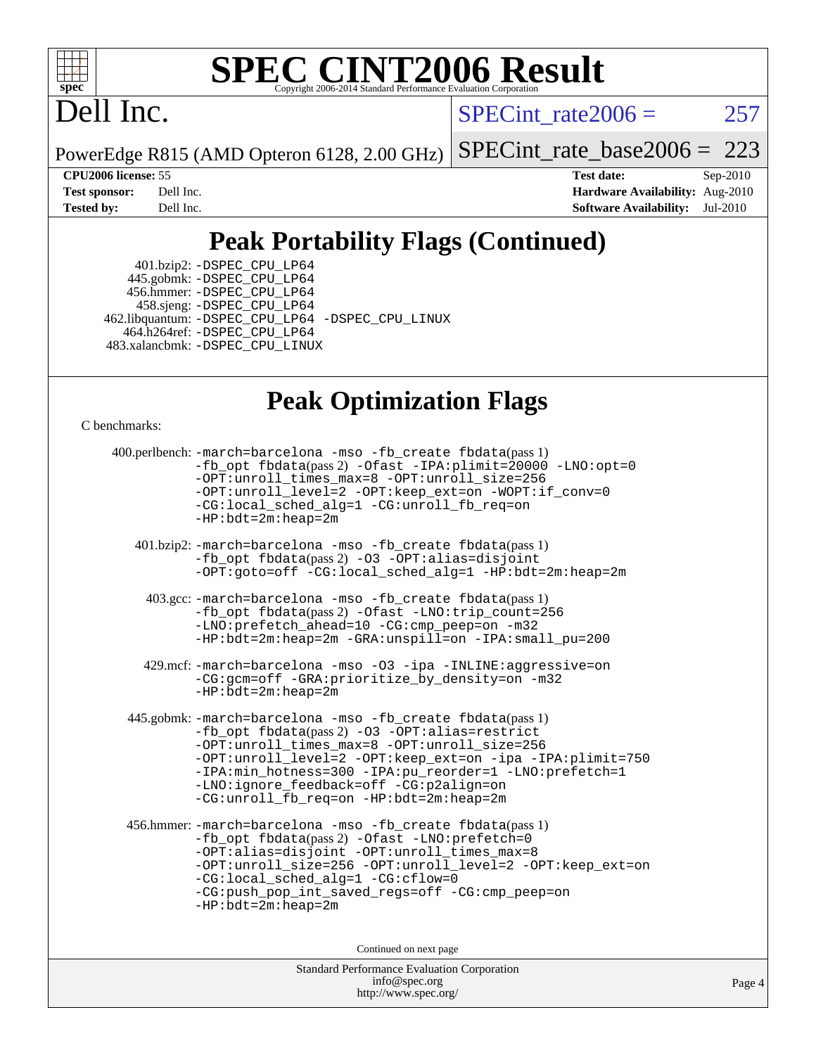

# **[SPEC CINT2006 Result](http://www.spec.org/auto/cpu2006/Docs/result-fields.html#SPECCINT2006Result)**

# Dell Inc.

 $SPECTnt_rate2006 = 257$ 

PowerEdge R815 (AMD Opteron 6128, 2.00 GHz) [SPECint\\_rate\\_base2006 =](http://www.spec.org/auto/cpu2006/Docs/result-fields.html#SPECintratebase2006) 223

**[CPU2006 license:](http://www.spec.org/auto/cpu2006/Docs/result-fields.html#CPU2006license)** 55 **[Test date:](http://www.spec.org/auto/cpu2006/Docs/result-fields.html#Testdate)** Sep-2010 **[Test sponsor:](http://www.spec.org/auto/cpu2006/Docs/result-fields.html#Testsponsor)** Dell Inc. **[Hardware Availability:](http://www.spec.org/auto/cpu2006/Docs/result-fields.html#HardwareAvailability)** Aug-2010 **[Tested by:](http://www.spec.org/auto/cpu2006/Docs/result-fields.html#Testedby)** Dell Inc. **[Software Availability:](http://www.spec.org/auto/cpu2006/Docs/result-fields.html#SoftwareAvailability)** Jul-2010

## **[Peak Portability Flags \(Continued\)](http://www.spec.org/auto/cpu2006/Docs/result-fields.html#PeakPortabilityFlags)**

 401.bzip2: [-DSPEC\\_CPU\\_LP64](http://www.spec.org/cpu2006/results/res2010q3/cpu2006-20100914-13300.flags.html#suite_peakPORTABILITY401_bzip2_DSPEC_CPU_LP64) 445.gobmk: [-DSPEC\\_CPU\\_LP64](http://www.spec.org/cpu2006/results/res2010q3/cpu2006-20100914-13300.flags.html#suite_peakPORTABILITY445_gobmk_DSPEC_CPU_LP64) 456.hmmer: [-DSPEC\\_CPU\\_LP64](http://www.spec.org/cpu2006/results/res2010q3/cpu2006-20100914-13300.flags.html#suite_peakPORTABILITY456_hmmer_DSPEC_CPU_LP64) 458.sjeng: [-DSPEC\\_CPU\\_LP64](http://www.spec.org/cpu2006/results/res2010q3/cpu2006-20100914-13300.flags.html#suite_peakPORTABILITY458_sjeng_DSPEC_CPU_LP64) 462.libquantum: [-DSPEC\\_CPU\\_LP64](http://www.spec.org/cpu2006/results/res2010q3/cpu2006-20100914-13300.flags.html#suite_peakPORTABILITY462_libquantum_DSPEC_CPU_LP64) [-DSPEC\\_CPU\\_LINUX](http://www.spec.org/cpu2006/results/res2010q3/cpu2006-20100914-13300.flags.html#b462.libquantum_peakCPORTABILITY_DSPEC_CPU_LINUX) 464.h264ref: [-DSPEC\\_CPU\\_LP64](http://www.spec.org/cpu2006/results/res2010q3/cpu2006-20100914-13300.flags.html#suite_peakPORTABILITY464_h264ref_DSPEC_CPU_LP64) 483.xalancbmk: [-DSPEC\\_CPU\\_LINUX](http://www.spec.org/cpu2006/results/res2010q3/cpu2006-20100914-13300.flags.html#b483.xalancbmk_peakCXXPORTABILITY_DSPEC_CPU_LINUX)

#### **[Peak Optimization Flags](http://www.spec.org/auto/cpu2006/Docs/result-fields.html#PeakOptimizationFlags)**

[C benchmarks](http://www.spec.org/auto/cpu2006/Docs/result-fields.html#Cbenchmarks):

```
Standard Performance Evaluation Corporation
400.perlbench: -march=barcelona -mso -fb_create fbdata(pass 1)
          -fb_opt fbdata(pass 2) -Ofast -IPA:plimit=20000 -LNO:opt=0
          -OPT:unroll_times_max=8 -OPT:unroll_size=256
          -OPT:unroll_level=2 -OPT:keep_ext=on -WOPT:if_conv=0
          -CG:local_sched_alg=1 -CG:unroll_fb_req=on
          -HP:bdt=2m:heap=2m
   401.bzip2: -march=barcelona -mso -fb_create fbdata(pass 1)
          -fb_opt fbdata(pass 2) -O3 -OPT:alias=disjoint
          -OPT:goto=off -CG:local_sched_alg=1 -HP:bdt=2m:heap=2m
    403.gcc: -march=barcelona -mso -fb_create fbdata(pass 1)
          -fb_opt fbdata(pass 2) -Ofast -LNO:trip_count=256
          -LNO:prefetch_ahead=10 -CG:cmp_peep=on -m32
          -HP:bdt=2m:heap=2m -GRA:unspill=on -IPA:small_pu=200
    429.mcf: -march=barcelona -mso -O3 -ipa -INLINE:aggressive=on
          -CG:gcm=off -GRA:prioritize_by_density=on -m32
          -HP:bdt=2m:heap=2m
  445.gobmk: -march=barcelona -mso -fb_create fbdata(pass 1)
          -fb_opt fbdata(pass 2) -O3 -OPT:alias=restrict
          -OPT:unroll_times_max=8 -OPT:unroll_size=256
          -OPT:unroll_level=2 -OPT:keep_ext=on -ipa -IPA:plimit=750
          -IPA:min_hotness=300-IPA:pu_reorder=1-LNO:prefetch=1
          -LNO:ignore_feedback=off -CG:p2align=on
          -CG:unroll_fb_req=on -HP:bdt=2m:heap=2m
 456.hmmer: -march=barcelona -mso -fb_create fbdata(pass 1)
          -fb_opt fbdata(pass 2) -Ofast -LNO:prefetch=0
          -OPT:alias=disjoint -OPT:unroll_times_max=8
          -OPT:unroll_size=256 -OPT:unroll_level=2 -OPT:keep_ext=on
          -CG:local_sched_alg=1 -CG:cflow=0
          -CG:push_pop_int_saved_regs=off -CG:cmp_peep=on
          -HP:bdt=2m:heap=2m
                               Continued on next page
```
[info@spec.org](mailto:info@spec.org) <http://www.spec.org/>